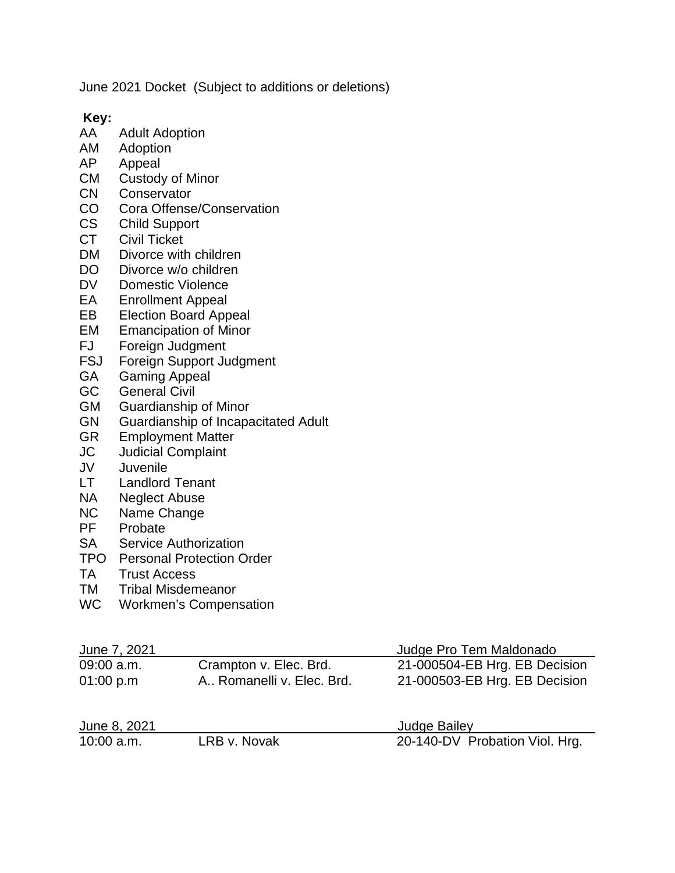June 2021 Docket (Subject to additions or deletions)

**Key:**

- **Adult Adoption**
- AM Adoption<br>AP Appeal
- Appeal
- CM Custody of Minor
- CN Conservator
- CO Cora Offense/Conservation
- CS Child Support<br>CT Civil Ticket
- Civil Ticket
- DM Divorce with children
- DO Divorce w/o children
- DV Domestic Violence<br>EA Enrollment Appeal
- Enrollment Appeal
- EB Election Board Appeal
- EM Emancipation of Minor<br>FJ Foreian Judament
- FJ Foreign Judgment<br>FSJ Foreign Support Ju
- FSJ Foreign Support Judgment<br>GA Gaming Appeal
- Gaming Appeal
- GC General Civil
- GM Guardianship of Minor
- GN Guardianship of Incapacitated Adult<br>GR Employment Matter
- **Employment Matter**
- JC Judicial Complaint
- JV Juvenile
- Landlord Tenant
- NA Neglect Abuse
- NC Name Change<br>PF Probate
- Probate
- SA Service Authorization
- TPO Personal Protection Order
- TA Trust Access
- TM Tribal Misdemeanor
- WC Workmen's Compensation

| June 7, 2021 |                             | Judge Pro Tem Maldonado        |
|--------------|-----------------------------|--------------------------------|
| 09:00 a.m.   | Crampton v. Elec. Brd.      | 21-000504-EB Hrg. EB Decision  |
| 01:00 p.m    | A., Romanelli v. Elec. Brd. | 21-000503-EB Hrg. EB Decision  |
| June 8, 2021 |                             | <b>Judge Bailey</b>            |
| $10:00$ a.m. | LRB v. Novak                | 20-140-DV Probation Viol. Hrg. |